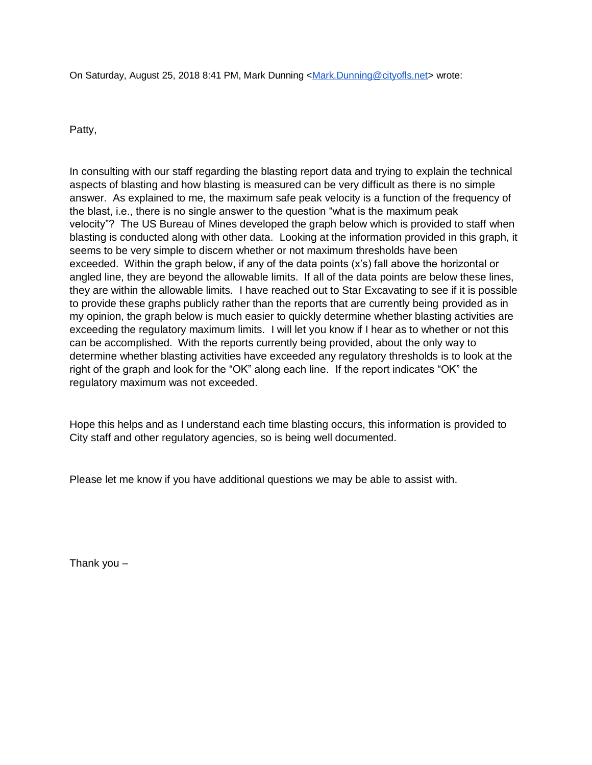On Saturday, August 25, 2018 8:41 PM, Mark Dunning [<Mark.Dunning@cityofls.net>](mailto:Mark.Dunning@cityofls.net) wrote:

Patty,

In consulting with our staff regarding the blasting report data and trying to explain the technical aspects of blasting and how blasting is measured can be very difficult as there is no simple answer. As explained to me, the maximum safe peak velocity is a function of the frequency of the blast, i.e., there is no single answer to the question "what is the maximum peak velocity"? The US Bureau of Mines developed the graph below which is provided to staff when blasting is conducted along with other data. Looking at the information provided in this graph, it seems to be very simple to discern whether or not maximum thresholds have been exceeded. Within the graph below, if any of the data points (x's) fall above the horizontal or angled line, they are beyond the allowable limits. If all of the data points are below these lines, they are within the allowable limits. I have reached out to Star Excavating to see if it is possible to provide these graphs publicly rather than the reports that are currently being provided as in my opinion, the graph below is much easier to quickly determine whether blasting activities are exceeding the regulatory maximum limits. I will let you know if I hear as to whether or not this can be accomplished. With the reports currently being provided, about the only way to determine whether blasting activities have exceeded any regulatory thresholds is to look at the right of the graph and look for the "OK" along each line. If the report indicates "OK" the regulatory maximum was not exceeded.

Hope this helps and as I understand each time blasting occurs, this information is provided to City staff and other regulatory agencies, so is being well documented.

Please let me know if you have additional questions we may be able to assist with.

Thank you –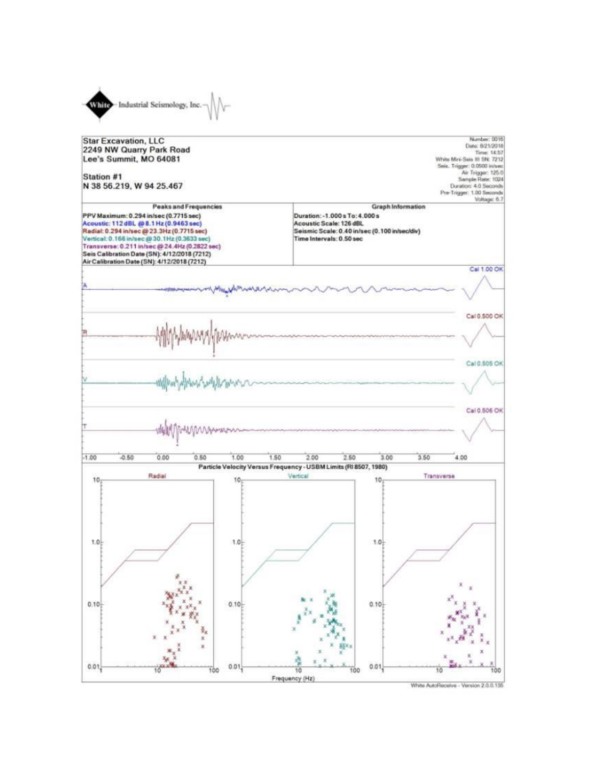

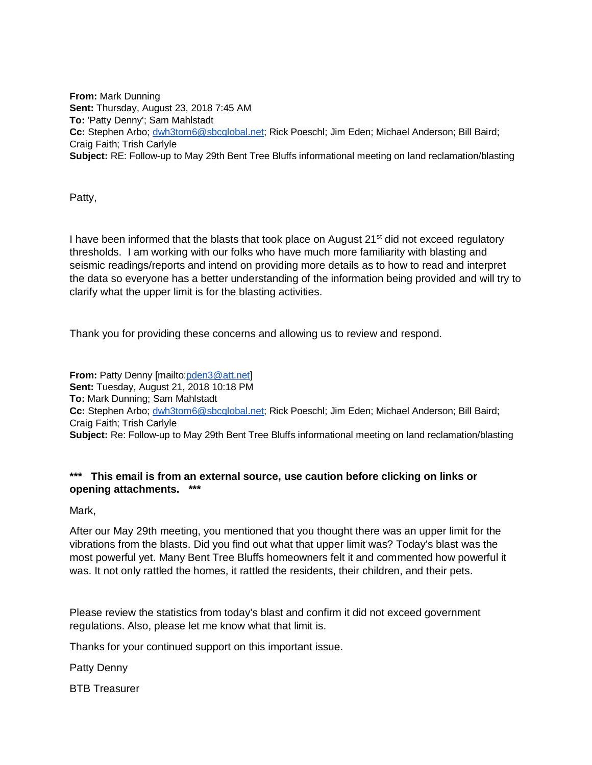**From:** Mark Dunning **Sent:** Thursday, August 23, 2018 7:45 AM **To:** 'Patty Denny'; Sam Mahlstadt **Cc:** Stephen Arbo; [dwh3tom6@sbcglobal.net;](mailto:dwh3tom6@sbcglobal.net) Rick Poeschl; Jim Eden; Michael Anderson; Bill Baird; Craig Faith; Trish Carlyle **Subject:** RE: Follow-up to May 29th Bent Tree Bluffs informational meeting on land reclamation/blasting

Patty,

I have been informed that the blasts that took place on August 21<sup>st</sup> did not exceed regulatory thresholds. I am working with our folks who have much more familiarity with blasting and seismic readings/reports and intend on providing more details as to how to read and interpret the data so everyone has a better understanding of the information being provided and will try to clarify what the upper limit is for the blasting activities.

Thank you for providing these concerns and allowing us to review and respond.

**From:** Patty Denny [mailt[o:pden3@att.net\]](mailto:pden3@att.net) **Sent:** Tuesday, August 21, 2018 10:18 PM **To:** Mark Dunning; Sam Mahlstadt **Cc:** Stephen Arbo; [dwh3tom6@sbcglobal.net;](mailto:dwh3tom6@sbcglobal.net) Rick Poeschl; Jim Eden; Michael Anderson; Bill Baird; Craig Faith; Trish Carlyle **Subject:** Re: Follow-up to May 29th Bent Tree Bluffs informational meeting on land reclamation/blasting

## **\*\*\* This email is from an external source, use caution before clicking on links or opening attachments. \*\*\***

Mark,

After our May 29th meeting, you mentioned that you thought there was an upper limit for the vibrations from the blasts. Did you find out what that upper limit was? Today's blast was the most powerful yet. Many Bent Tree Bluffs homeowners felt it and commented how powerful it was. It not only rattled the homes, it rattled the residents, their children, and their pets.

Please review the statistics from today's blast and confirm it did not exceed government regulations. Also, please let me know what that limit is.

Thanks for your continued support on this important issue.

Patty Denny

BTB Treasurer